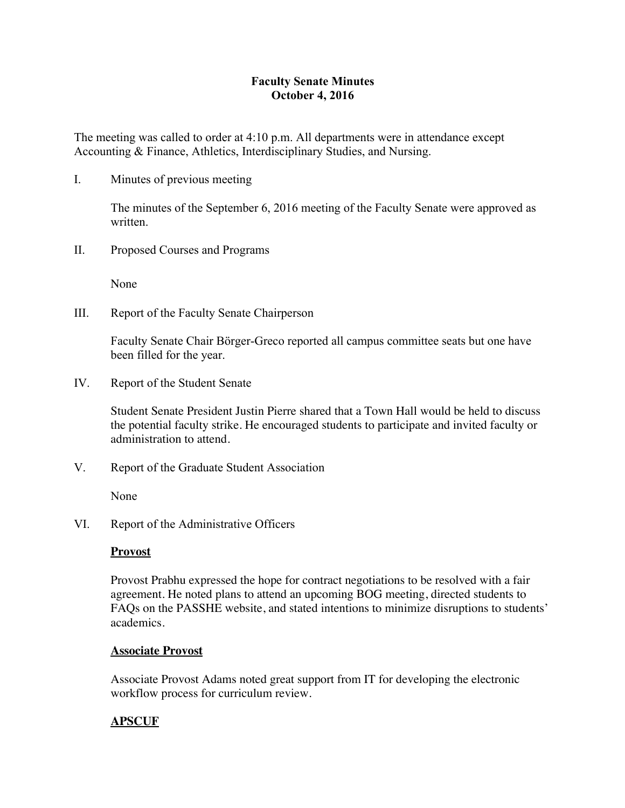# **Faculty Senate Minutes October 4, 2016**

The meeting was called to order at 4:10 p.m. All departments were in attendance except Accounting & Finance, Athletics, Interdisciplinary Studies, and Nursing.

I. Minutes of previous meeting

The minutes of the September 6, 2016 meeting of the Faculty Senate were approved as written.

II. Proposed Courses and Programs

None

III. Report of the Faculty Senate Chairperson

Faculty Senate Chair Börger-Greco reported all campus committee seats but one have been filled for the year.

IV. Report of the Student Senate

Student Senate President Justin Pierre shared that a Town Hall would be held to discuss the potential faculty strike. He encouraged students to participate and invited faculty or administration to attend.

V. Report of the Graduate Student Association

None

VI. Report of the Administrative Officers

## **Provost**

Provost Prabhu expressed the hope for contract negotiations to be resolved with a fair agreement. He noted plans to attend an upcoming BOG meeting, directed students to FAQs on the PASSHE website, and stated intentions to minimize disruptions to students' academics.

## **Associate Provost**

Associate Provost Adams noted great support from IT for developing the electronic workflow process for curriculum review.

# **APSCUF**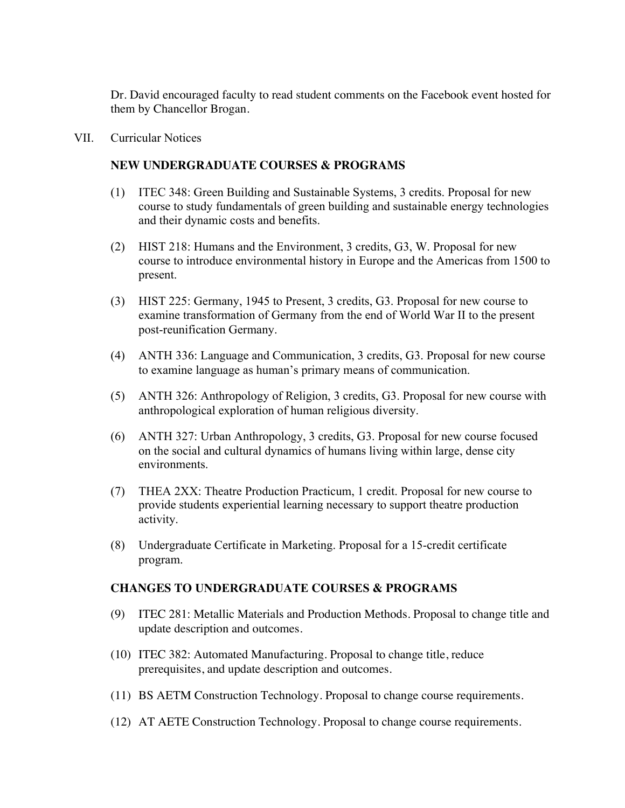Dr. David encouraged faculty to read student comments on the Facebook event hosted for them by Chancellor Brogan.

VII. Curricular Notices

## **NEW UNDERGRADUATE COURSES & PROGRAMS**

- (1) ITEC 348: Green Building and Sustainable Systems, 3 credits. Proposal for new course to study fundamentals of green building and sustainable energy technologies and their dynamic costs and benefits.
- (2) HIST 218: Humans and the Environment, 3 credits, G3, W. Proposal for new course to introduce environmental history in Europe and the Americas from 1500 to present.
- (3) HIST 225: Germany, 1945 to Present, 3 credits, G3. Proposal for new course to examine transformation of Germany from the end of World War II to the present post-reunification Germany.
- (4) ANTH 336: Language and Communication, 3 credits, G3. Proposal for new course to examine language as human's primary means of communication.
- (5) ANTH 326: Anthropology of Religion, 3 credits, G3. Proposal for new course with anthropological exploration of human religious diversity.
- (6) ANTH 327: Urban Anthropology, 3 credits, G3. Proposal for new course focused on the social and cultural dynamics of humans living within large, dense city environments.
- (7) THEA 2XX: Theatre Production Practicum, 1 credit. Proposal for new course to provide students experiential learning necessary to support theatre production activity.
- (8) Undergraduate Certificate in Marketing. Proposal for a 15-credit certificate program.

#### **CHANGES TO UNDERGRADUATE COURSES & PROGRAMS**

- (9) ITEC 281: Metallic Materials and Production Methods. Proposal to change title and update description and outcomes.
- (10) ITEC 382: Automated Manufacturing. Proposal to change title, reduce prerequisites, and update description and outcomes.
- (11) BS AETM Construction Technology. Proposal to change course requirements.
- (12) AT AETE Construction Technology. Proposal to change course requirements.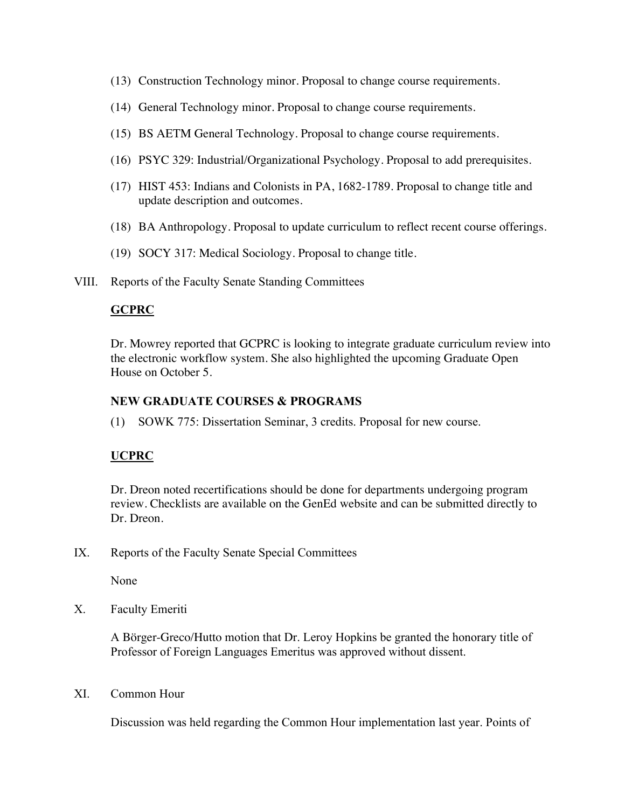- (13) Construction Technology minor. Proposal to change course requirements.
- (14) General Technology minor. Proposal to change course requirements.
- (15) BS AETM General Technology. Proposal to change course requirements.
- (16) PSYC 329: Industrial/Organizational Psychology. Proposal to add prerequisites.
- (17) HIST 453: Indians and Colonists in PA, 1682-1789. Proposal to change title and update description and outcomes.
- (18) BA Anthropology. Proposal to update curriculum to reflect recent course offerings.
- (19) SOCY 317: Medical Sociology. Proposal to change title.
- VIII. Reports of the Faculty Senate Standing Committees

## **GCPRC**

Dr. Mowrey reported that GCPRC is looking to integrate graduate curriculum review into the electronic workflow system. She also highlighted the upcoming Graduate Open House on October 5.

### **NEW GRADUATE COURSES & PROGRAMS**

(1) SOWK 775: Dissertation Seminar, 3 credits. Proposal for new course.

## **UCPRC**

Dr. Dreon noted recertifications should be done for departments undergoing program review. Checklists are available on the GenEd website and can be submitted directly to Dr. Dreon.

IX. Reports of the Faculty Senate Special Committees

None

X. Faculty Emeriti

A Börger-Greco/Hutto motion that Dr. Leroy Hopkins be granted the honorary title of Professor of Foreign Languages Emeritus was approved without dissent.

XI. Common Hour

Discussion was held regarding the Common Hour implementation last year. Points of